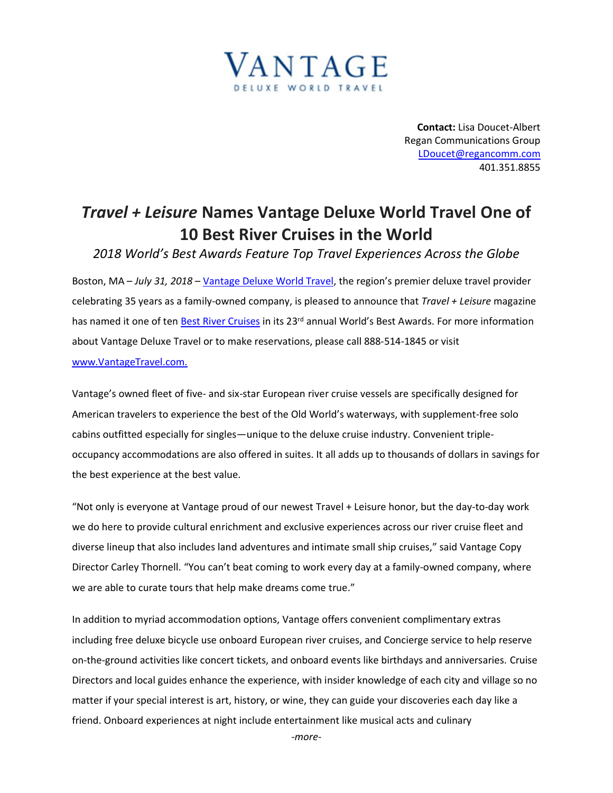

**Contact:** Lisa Doucet-Albert Regan Communications Group [LDoucet@regancomm.com](mailto:LDoucet@regancomm.com) 401.351.8855

## *Travel + Leisure* **Names Vantage Deluxe World Travel One of 10 Best River Cruises in the World**

*2018 World's Best Awards Feature Top Travel Experiences Across the Globe*

Boston, MA – *July 31, 2018* – [Vantage Deluxe World Travel,](http://www.vantagetravel.com/) the region's premier deluxe travel provider celebrating 35 years as a family-owned company, is pleased to announce that *Travel + Leisure* magazine has named it one of ten [Best River Cruises](https://www.travelandleisure.com/worlds-best/river-cruise-lines) in its 23<sup>rd</sup> annual World's Best Awards. For more information about Vantage Deluxe Travel or to make reservations, please call 888-514-1845 or visit [www.VantageTravel.com.](http://www.vantagetravel.com./)

Vantage's owned fleet of five- and six-star European river cruise vessels are specifically designed for American travelers to experience the best of the Old World's waterways, with supplement-free solo cabins outfitted especially for singles—unique to the deluxe cruise industry. Convenient tripleoccupancy accommodations are also offered in suites. It all adds up to thousands of dollars in savings for the best experience at the best value.

"Not only is everyone at Vantage proud of our newest Travel + Leisure honor, but the day-to-day work we do here to provide cultural enrichment and exclusive experiences across our river cruise fleet and diverse lineup that also includes land adventures and intimate small ship cruises," said Vantage Copy Director Carley Thornell. "You can't beat coming to work every day at a family-owned company, where we are able to curate tours that help make dreams come true."

In addition to myriad accommodation options, Vantage offers convenient complimentary extras including free deluxe bicycle use onboard European river cruises, and Concierge service to help reserve on-the-ground activities like concert tickets, and onboard events like birthdays and anniversaries. Cruise Directors and local guides enhance the experience, with insider knowledge of each city and village so no matter if your special interest is art, history, or wine, they can guide your discoveries each day like a friend. Onboard experiences at night include entertainment like musical acts and culinary

*-more-*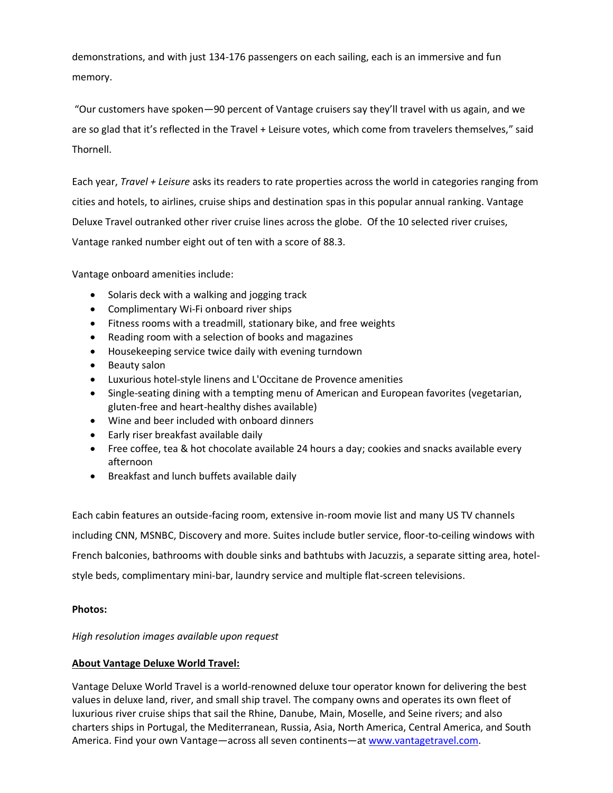demonstrations, and with just 134-176 passengers on each sailing, each is an immersive and fun memory.

"Our customers have spoken—90 percent of Vantage cruisers say they'll travel with us again, and we are so glad that it's reflected in the Travel + Leisure votes, which come from travelers themselves," said Thornell.

Each year, *Travel + Leisure* asks its readers to rate properties across the world in categories ranging from cities and hotels, to airlines, cruise ships and destination spas in this popular annual ranking. Vantage Deluxe Travel outranked other river cruise lines across the globe. Of the 10 selected river cruises, Vantage ranked number eight out of ten with a score of 88.3.

Vantage onboard amenities include:

- Solaris deck with a walking and jogging track
- Complimentary Wi-Fi onboard river ships
- Fitness rooms with a treadmill, stationary bike, and free weights
- Reading room with a selection of books and magazines
- Housekeeping service twice daily with evening turndown
- Beauty salon
- Luxurious hotel-style linens and L'Occitane de Provence amenities
- Single-seating dining with a tempting menu of American and European favorites (vegetarian, gluten-free and heart-healthy dishes available)
- Wine and beer included with onboard dinners
- Early riser breakfast available daily
- Free coffee, tea & hot chocolate available 24 hours a day; cookies and snacks available every afternoon
- Breakfast and lunch buffets available daily

Each cabin features an outside-facing room, extensive in-room movie list and many US TV channels including CNN, MSNBC, Discovery and more. Suites include butler service, floor-to-ceiling windows with French balconies, bathrooms with double sinks and bathtubs with Jacuzzis, a separate sitting area, hotelstyle beds, complimentary mini-bar, laundry service and multiple flat-screen televisions.

## **Photos:**

*High resolution images available upon request*

## **About Vantage Deluxe World Travel:**

Vantage Deluxe World Travel is a world-renowned deluxe tour operator known for delivering the best values in deluxe land, river, and small ship travel. The company owns and operates its own fleet of luxurious river cruise ships that sail the Rhine, Danube, Main, Moselle, and Seine rivers; and also charters ships in Portugal, the Mediterranean, Russia, Asia, North America, Central America, and South America. Find your own Vantage—across all seven continents—at [www.vantagetravel.com.](http://www.vantagetravel.com/)